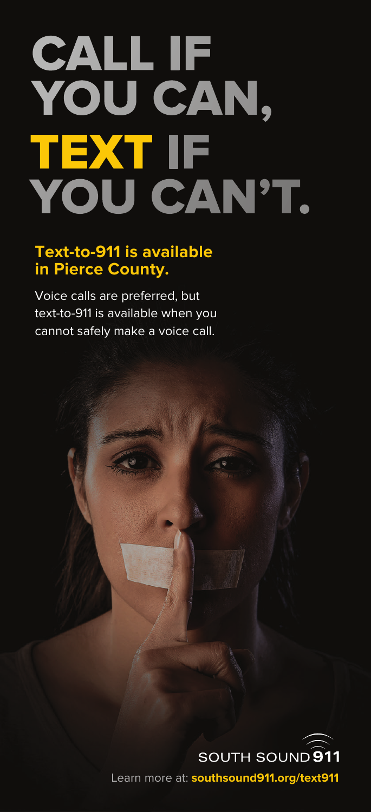# **CALL IF** YOU CAN, TEXT IF<br>YOU CAN'T.

#### **Text-to-911 is available in Pierce County.**

Voice calls are preferred, but text-to-911 is available when you cannot safely make a voice call.